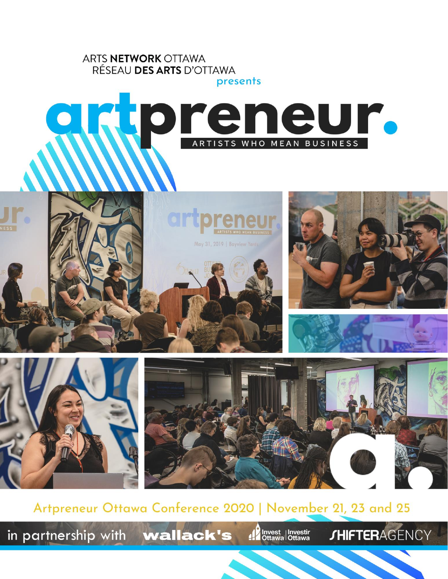

Artpreneur Ottawa Conference 2020 | November 21, 23 and 25

in partnership with wallack's

Invest<br>Investire du Ottawa

**JHIFTERAGENCY**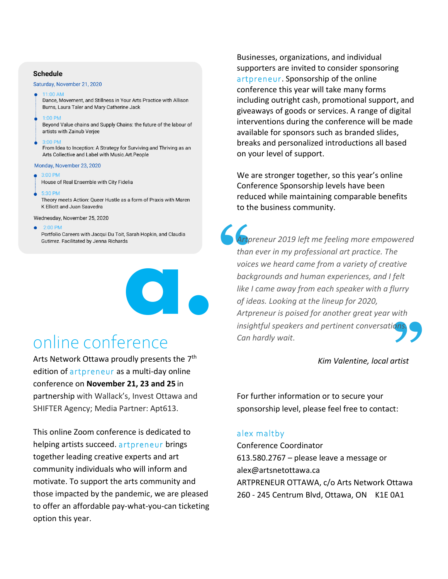### **Schedule**

#### Saturday, November 21, 2020

 $11:00$  AM

Dance, Movement, and Stillness in Your Arts Practice with Allison Burns, Laura Taler and Mary Catherine Jack

1:00 PM

Beyond Value chains and Supply Chains: the future of the labour of artists with Zainub Verjee

 $3:00$  PM

From Idea to Inception: A Strategy for Surviving and Thriving as an Arts Collective and Label with Music.Art.People

#### Monday, November 23, 2020

- $3:00$  PM
- House of Real Ensemble with City Fidelia
- 5:30 PM

Theory meets Action: Queer Hustle as a form of Praxis with Maren K Elliott and Juan Saavedra

Wednesday, November 25, 2020

 $2:00$  PM

Portfolio Careers with Jacqui Du Toit, Sarah Hopkin, and Claudia Gutirrez. Facilitated by Jenna Richards



# online conference

Arts Network Ottawa proudly presents the 7<sup>th</sup> edition of artpreneur as a multi-day online conference on **November 21, 23 and 25** in partnership with Wallack's, Invest Ottawa and SHIFTER Agency; Media Partner: Apt613.

This online Zoom conference is dedicated to helping artists succeed. artpreneur brings together leading creative experts and art community individuals who will inform and motivate. To support the arts community and those impacted by the pandemic, we are pleased to offer an affordable pay-what-you-can ticketing option this year.

Businesses, organizations, and individual supporters are invited to consider sponsoring artpreneur. Sponsorship of the online conference this year will take many forms including outright cash, promotional support, and giveaways of goods or services. A range of digital interventions during the conference will be made available for sponsors such as branded slides, breaks and personalized introductions all based on your level of support.

We are stronger together, so this year's online Conference Sponsorship levels have been reduced while maintaining comparable benefits to the business community.

vith<br>2<mark>ns.</mark> **S**<br>Arty<br>than<br>voic *Artpreneur 2019 left me feeling more empowered than ever in my professional art practice. The voices we heard came from a variety of creative backgrounds and human experiences, and I felt like I came away from each speaker with a flurry of ideas. Looking at the lineup for 2020, Artpreneur is poised for another great year with insightful speakers and pertinent conversations. Can hardly wait*.

*Kim Valentine, local artist*

For further information or to secure your sponsorship level, please feel free to contact:

## alex maltby

Conference Coordinator 613.580.2767 – please leave a message or alex@artsnetottawa.ca ARTPRENEUR OTTAWA, c/o Arts Network Ottawa 260 - 245 Centrum Blvd, Ottawa, ON K1E 0A1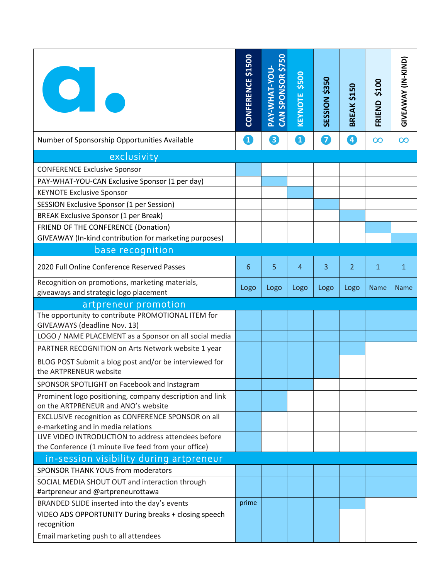| $\bullet$                                                                                       | CONFERENCE \$1500 | CAN SPONSOR \$750<br>PAY-WHAT-YOU- | \$500<br>KEYNOTE | <b>SESSION \$350</b> | BREAK \$150    | \$100<br>FRIEND | GIVEAWAY (IN-KIND) |
|-------------------------------------------------------------------------------------------------|-------------------|------------------------------------|------------------|----------------------|----------------|-----------------|--------------------|
| Number of Sponsorship Opportunities Available                                                   | O                 | 8                                  | O                | 7                    | 4              | $\infty$        | $\infty$           |
| exclusivity                                                                                     |                   |                                    |                  |                      |                |                 |                    |
| <b>CONFERENCE Exclusive Sponsor</b>                                                             |                   |                                    |                  |                      |                |                 |                    |
| PAY-WHAT-YOU-CAN Exclusive Sponsor (1 per day)                                                  |                   |                                    |                  |                      |                |                 |                    |
| <b>KEYNOTE Exclusive Sponsor</b>                                                                |                   |                                    |                  |                      |                |                 |                    |
| SESSION Exclusive Sponsor (1 per Session)                                                       |                   |                                    |                  |                      |                |                 |                    |
| <b>BREAK Exclusive Sponsor (1 per Break)</b>                                                    |                   |                                    |                  |                      |                |                 |                    |
| FRIEND OF THE CONFERENCE (Donation)                                                             |                   |                                    |                  |                      |                |                 |                    |
| GIVEAWAY (In-kind contribution for marketing purposes)                                          |                   |                                    |                  |                      |                |                 |                    |
| base recognition                                                                                |                   |                                    |                  |                      |                |                 |                    |
| 2020 Full Online Conference Reserved Passes                                                     | 6                 | 5                                  | $\overline{4}$   | 3                    | $\overline{2}$ | $\mathbf{1}$    | 1                  |
| Recognition on promotions, marketing materials,                                                 | Logo              | Logo                               | Logo             | Logo                 | Logo           | <b>Name</b>     | <b>Name</b>        |
| giveaways and strategic logo placement                                                          |                   |                                    |                  |                      |                |                 |                    |
| artpreneur promotion<br>The opportunity to contribute PROMOTIONAL ITEM for                      |                   |                                    |                  |                      |                |                 |                    |
| GIVEAWAYS (deadline Nov. 13)                                                                    |                   |                                    |                  |                      |                |                 |                    |
| LOGO / NAME PLACEMENT as a Sponsor on all social media                                          |                   |                                    |                  |                      |                |                 |                    |
| PARTNER RECOGNITION on Arts Network website 1 year                                              |                   |                                    |                  |                      |                |                 |                    |
| BLOG POST Submit a blog post and/or be interviewed for<br>the ARTPRENEUR website                |                   |                                    |                  |                      |                |                 |                    |
| SPONSOR SPOTLIGHT on Facebook and Instagram                                                     |                   |                                    |                  |                      |                |                 |                    |
|                                                                                                 |                   |                                    |                  |                      |                |                 |                    |
| Prominent logo positioning, company description and link<br>on the ARTPRENEUR and ANO's website |                   |                                    |                  |                      |                |                 |                    |
| EXCLUSIVE recognition as CONFERENCE SPONSOR on all                                              |                   |                                    |                  |                      |                |                 |                    |
| e-marketing and in media relations                                                              |                   |                                    |                  |                      |                |                 |                    |
| LIVE VIDEO INTRODUCTION to address attendees before                                             |                   |                                    |                  |                      |                |                 |                    |
| the Conference (1 minute live feed from your office)                                            |                   |                                    |                  |                      |                |                 |                    |
| in-session visibility during artpreneur                                                         |                   |                                    |                  |                      |                |                 |                    |
| SPONSOR THANK YOUS from moderators                                                              |                   |                                    |                  |                      |                |                 |                    |
| SOCIAL MEDIA SHOUT OUT and interaction through                                                  |                   |                                    |                  |                      |                |                 |                    |
| #artpreneur and @artpreneurottawa                                                               |                   |                                    |                  |                      |                |                 |                    |
| BRANDED SLIDE inserted into the day's events                                                    | prime             |                                    |                  |                      |                |                 |                    |
| VIDEO ADS OPPORTUNITY During breaks + closing speech<br>recognition                             |                   |                                    |                  |                      |                |                 |                    |